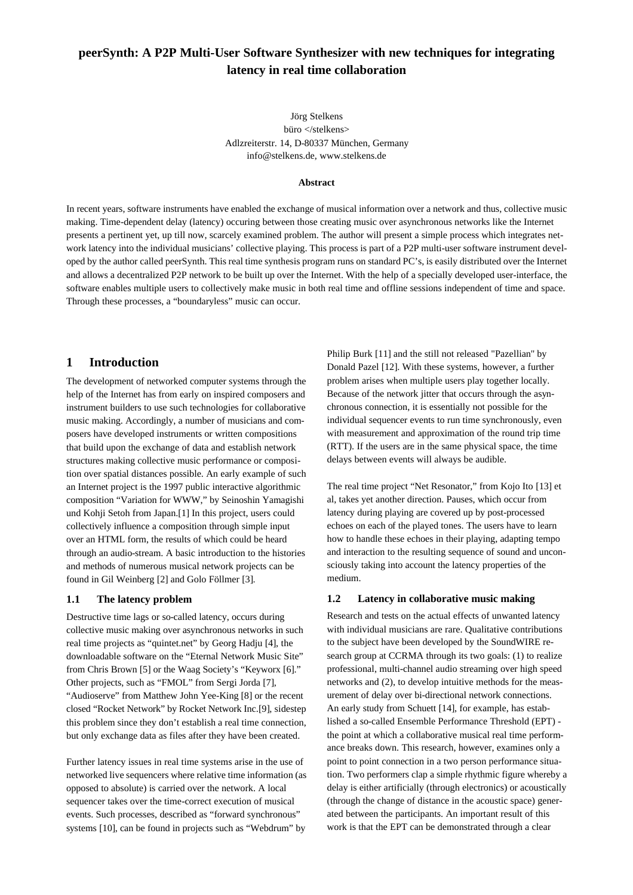# **peerSynth: A P2P Multi-User Software Synthesizer with new techniques for integrating latency in real time collaboration**

Jörg Stelkens büro </stelkens> Adlzreiterstr. 14, D-80337 München, Germany info@stelkens.de, www.stelkens.de

#### **Abstract**

In recent years, software instruments have enabled the exchange of musical information over a network and thus, collective music making. Time-dependent delay (latency) occuring between those creating music over asynchronous networks like the Internet presents a pertinent yet, up till now, scarcely examined problem. The author will present a simple process which integrates network latency into the individual musicians' collective playing. This process is part of a P2P multi-user software instrument developed by the author called peerSynth. This real time synthesis program runs on standard PC's, is easily distributed over the Internet and allows a decentralized P2P network to be built up over the Internet. With the help of a specially developed user-interface, the software enables multiple users to collectively make music in both real time and offline sessions independent of time and space. Through these processes, a "boundaryless" music can occur.

# **1 Introduction**

The development of networked computer systems through the help of the Internet has from early on inspired composers and instrument builders to use such technologies for collaborative music making. Accordingly, a number of musicians and composers have developed instruments or written compositions that build upon the exchange of data and establish network structures making collective music performance or composition over spatial distances possible. An early example of such an Internet project is the 1997 public interactive algorithmic composition "Variation for WWW," by Seinoshin Yamagishi und Kohji Setoh from Japan.[1] In this project, users could collectively influence a composition through simple input over an HTML form, the results of which could be heard through an audio-stream. A basic introduction to the histories and methods of numerous musical network projects can be found in Gil Weinberg [2] and Golo Föllmer [3].

#### **1.1 The latency problem**

Destructive time lags or so-called latency, occurs during collective music making over asynchronous networks in such real time projects as "quintet.net" by Georg Hadju [4], the downloadable software on the "Eternal Network Music Site" from Chris Brown [5] or the Waag Society's "Keyworx [6]." Other projects, such as "FMOL" from Sergi Jorda [7], "Audioserve" from Matthew John Yee-King [8] or the recent closed "Rocket Network" by Rocket Network Inc.[9], sidestep this problem since they don't establish a real time connection, but only exchange data as files after they have been created.

Further latency issues in real time systems arise in the use of networked live sequencers where relative time information (as opposed to absolute) is carried over the network. A local sequencer takes over the time-correct execution of musical events. Such processes, described as "forward synchronous" systems [10], can be found in projects such as "Webdrum" by

Philip Burk [11] and the still not released "Pazellian" by Donald Pazel [12]. With these systems, however, a further problem arises when multiple users play together locally. Because of the network jitter that occurs through the asynchronous connection, it is essentially not possible for the individual sequencer events to run time synchronously, even with measurement and approximation of the round trip time (RTT). If the users are in the same physical space, the time delays between events will always be audible.

The real time project "Net Resonator," from Kojo Ito [13] et al, takes yet another direction. Pauses, which occur from latency during playing are covered up by post-processed echoes on each of the played tones. The users have to learn how to handle these echoes in their playing, adapting tempo and interaction to the resulting sequence of sound and unconsciously taking into account the latency properties of the medium.

#### **1.2 Latency in collaborative music making**

Research and tests on the actual effects of unwanted latency with individual musicians are rare. Qualitative contributions to the subject have been developed by the SoundWIRE research group at CCRMA through its two goals: (1) to realize professional, multi-channel audio streaming over high speed networks and (2), to develop intuitive methods for the measurement of delay over bi-directional network connections. An early study from Schuett [14], for example, has established a so-called Ensemble Performance Threshold (EPT) the point at which a collaborative musical real time performance breaks down. This research, however, examines only a point to point connection in a two person performance situation. Two performers clap a simple rhythmic figure whereby a delay is either artificially (through electronics) or acoustically (through the change of distance in the acoustic space) generated between the participants. An important result of this work is that the EPT can be demonstrated through a clear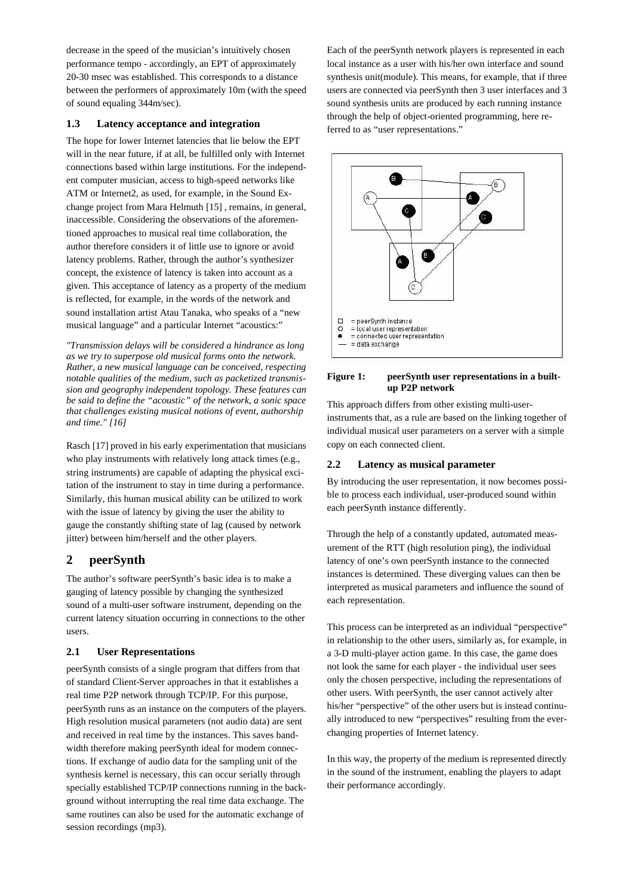decrease in the speed of the musician's intuitively chosen performance tempo - accordingly, an EPT of approximately 20-30 msec was established. This corresponds to a distance between the performers of approximately 10m (with the speed of sound equaling 344m/sec).

# **1.3 Latency acceptance and integration**

The hope for lower Internet latencies that lie below the EPT will in the near future, if at all, be fulfilled only with Internet connections based within large institutions. For the independent computer musician, access to high-speed networks like ATM or Internet2, as used, for example, in the Sound Exchange project from Mara Helmuth [15] , remains, in general, inaccessible. Considering the observations of the aforementioned approaches to musical real time collaboration, the author therefore considers it of little use to ignore or avoid latency problems. Rather, through the author's synthesizer concept, the existence of latency is taken into account as a given. This acceptance of latency as a property of the medium is reflected, for example, in the words of the network and sound installation artist Atau Tanaka, who speaks of a "new musical language" and a particular Internet "acoustics:"

*"Transmission delays will be considered a hindrance as long as we try to superpose old musical forms onto the network. Rather, a new musical language can be conceived, respecting notable qualities of the medium, such as packetized transmission and geography independent topology. These features can be said to define the "acoustic" of the network, a sonic space that challenges existing musical notions of event, authorship and time." [16]*

Rasch [17] proved in his early experimentation that musicians who play instruments with relatively long attack times (e.g., string instruments) are capable of adapting the physical excitation of the instrument to stay in time during a performance. Similarly, this human musical ability can be utilized to work with the issue of latency by giving the user the ability to gauge the constantly shifting state of lag (caused by network iitter) between him/herself and the other players.

# **2 peerSynth**

The author's software peerSynth's basic idea is to make a gauging of latency possible by changing the synthesized sound of a multi-user software instrument, depending on the current latency situation occurring in connections to the other users.

# **2.1 User Representations**

peerSynth consists of a single program that differs from that of standard Client-Server approaches in that it establishes a real time P2P network through TCP/IP. For this purpose, peerSynth runs as an instance on the computers of the players. High resolution musical parameters (not audio data) are sent and received in real time by the instances. This saves bandwidth therefore making peerSynth ideal for modem connections. If exchange of audio data for the sampling unit of the synthesis kernel is necessary, this can occur serially through specially established TCP/IP connections running in the background without interrupting the real time data exchange. The same routines can also be used for the automatic exchange of session recordings (mp3).

Each of the peerSynth network players is represented in each local instance as a user with his/her own interface and sound synthesis unit(module). This means, for example, that if three users are connected via peerSynth then 3 user interfaces and 3 sound synthesis units are produced by each running instance through the help of object-oriented programming, here referred to as "user representations."



#### **Figure 1: peerSynth user representations in a builtup P2P network**

This approach differs from other existing multi-userinstruments that, as a rule are based on the linking together of individual musical user parameters on a server with a simple copy on each connected client.

# **2.2 Latency as musical parameter**

By introducing the user representation, it now becomes possible to process each individual, user-produced sound within each peerSynth instance differently.

Through the help of a constantly updated, automated measurement of the RTT (high resolution ping), the individual latency of one's own peerSynth instance to the connected instances is determined. These diverging values can then be interpreted as musical parameters and influence the sound of each representation.

This process can be interpreted as an individual "perspective" in relationship to the other users, similarly as, for example, in a 3-D multi-player action game. In this case, the game does not look the same for each player - the individual user sees only the chosen perspective, including the representations of other users. With peerSynth, the user cannot actively alter his/her "perspective" of the other users but is instead continually introduced to new "perspectives" resulting from the everchanging properties of Internet latency.

In this way, the property of the medium is represented directly in the sound of the instrument, enabling the players to adapt their performance accordingly.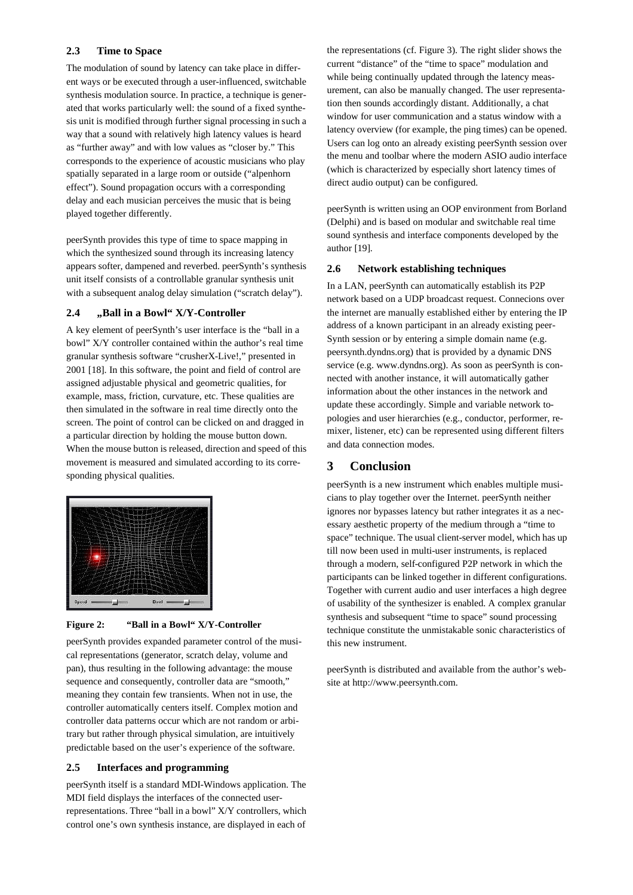#### **2.3 Time to Space**

The modulation of sound by latency can take place in different ways or be executed through a user-influenced, switchable synthesis modulation source. In practice, a technique is generated that works particularly well: the sound of a fixed synthesis unit is modified through further signal processing in such a way that a sound with relatively high latency values is heard as "further away" and with low values as "closer by." This corresponds to the experience of acoustic musicians who play spatially separated in a large room or outside ("alpenhorn effect"). Sound propagation occurs with a corresponding delay and each musician perceives the music that is being played together differently.

peerSynth provides this type of time to space mapping in which the synthesized sound through its increasing latency appears softer, dampened and reverbed. peerSynth's synthesis unit itself consists of a controllable granular synthesis unit with a subsequent analog delay simulation ("scratch delay").

#### **2.4 "Ball in a Bowl" X/Y-Controller**

A key element of peerSynth's user interface is the "ball in a bowl" X/Y controller contained within the author's real time granular synthesis software "crusherX-Live!," presented in 2001 [18]. In this software, the point and field of control are assigned adjustable physical and geometric qualities, for example, mass, friction, curvature, etc. These qualities are then simulated in the software in real time directly onto the screen. The point of control can be clicked on and dragged in a particular direction by holding the mouse button down. When the mouse button is released, direction and speed of this movement is measured and simulated according to its corresponding physical qualities.



#### **Figure 2: "Ball in a Bowl" X/Y-Controller**

peerSynth provides expanded parameter control of the musical representations (generator, scratch delay, volume and pan), thus resulting in the following advantage: the mouse sequence and consequently, controller data are "smooth," meaning they contain few transients. When not in use, the controller automatically centers itself. Complex motion and controller data patterns occur which are not random or arbitrary but rather through physical simulation, are intuitively predictable based on the user's experience of the software.

# **2.5 Interfaces and programming**

peerSynth itself is a standard MDI-Windows application. The MDI field displays the interfaces of the connected userrepresentations. Three "ball in a bowl" X/Y controllers, which control one's own synthesis instance, are displayed in each of

the representations (cf. Figure 3). The right slider shows the current "distance" of the "time to space" modulation and while being continually updated through the latency measurement, can also be manually changed. The user representation then sounds accordingly distant. Additionally, a chat window for user communication and a status window with a latency overview (for example, the ping times) can be opened. Users can log onto an already existing peerSynth session over the menu and toolbar where the modern ASIO audio interface (which is characterized by especially short latency times of direct audio output) can be configured.

peerSynth is written using an OOP environment from Borland (Delphi) and is based on modular and switchable real time sound synthesis and interface components developed by the author [19].

#### **2.6 Network establishing techniques**

In a LAN, peerSynth can automatically establish its P2P network based on a UDP broadcast request. Connecions over the internet are manually established either by entering the IP address of a known participant in an already existing peer-Synth session or by entering a simple domain name (e.g. peersynth.dyndns.org) that is provided by a dynamic DNS service (e.g. www.dyndns.org). As soon as peerSynth is connected with another instance, it will automatically gather information about the other instances in the network and update these accordingly. Simple and variable network topologies and user hierarchies (e.g., conductor, performer, remixer, listener, etc) can be represented using different filters and data connection modes.

# **3 Conclusion**

peerSynth is a new instrument which enables multiple musicians to play together over the Internet. peerSynth neither ignores nor bypasses latency but rather integrates it as a necessary aesthetic property of the medium through a "time to space" technique. The usual client-server model, which has up till now been used in multi-user instruments, is replaced through a modern, self-configured P2P network in which the participants can be linked together in different configurations. Together with current audio and user interfaces a high degree of usability of the synthesizer is enabled. A complex granular synthesis and subsequent "time to space" sound processing technique constitute the unmistakable sonic characteristics of this new instrument.

peerSynth is distributed and available from the author's website at http://www.peersynth.com.